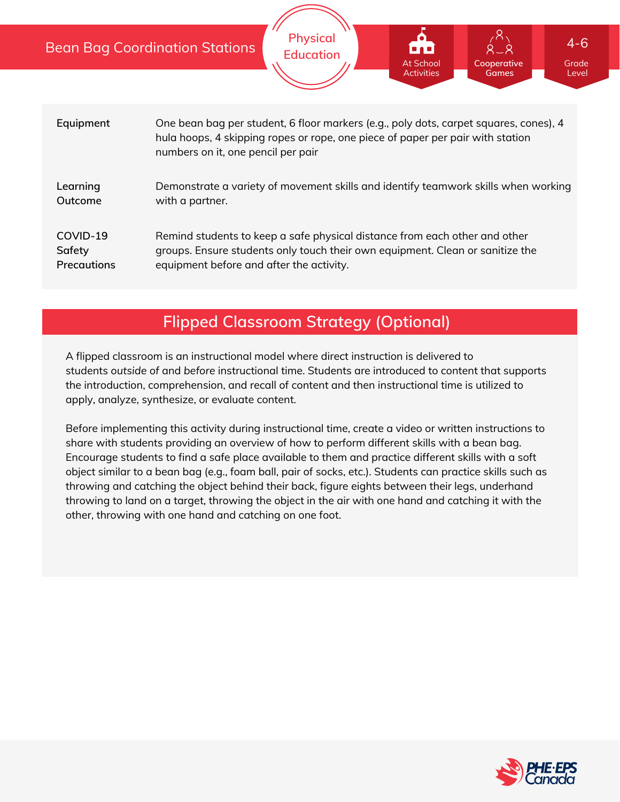|                                   | <b>Bean Bag Coordination Stations</b>                                                                                                                                                                         | <b>Physical</b><br><b>Education</b> | <b>At School</b><br><b>Activities</b> | Cooperative<br>Games | $4 - 6$<br>Grade<br>Level |
|-----------------------------------|---------------------------------------------------------------------------------------------------------------------------------------------------------------------------------------------------------------|-------------------------------------|---------------------------------------|----------------------|---------------------------|
|                                   |                                                                                                                                                                                                               |                                     |                                       |                      |                           |
| Equipment                         | One bean bag per student, 6 floor markers (e.g., poly dots, carpet squares, cones), 4<br>hula hoops, 4 skipping ropes or rope, one piece of paper per pair with station<br>numbers on it, one pencil per pair |                                     |                                       |                      |                           |
| Learning<br>Outcome               | Demonstrate a variety of movement skills and identify teamwork skills when working<br>with a partner.                                                                                                         |                                     |                                       |                      |                           |
| COVID-19<br>Safety<br>Precautions | Remind students to keep a safe physical distance from each other and other<br>groups. Ensure students only touch their own equipment. Clean or sanitize the<br>equipment before and after the activity.       |                                     |                                       |                      |                           |

# **Flipped Classroom Strategy (Optional)**

A flipped classroom is an instructional model where direct instruction is delivered to students *outside of* and *before* instructional time. Students are introduced to content that supports the introduction, comprehension, and recall of content and then instructional time is utilized to apply, analyze, synthesize, or evaluate content.

Before implementing this activity during instructional time, create a video or written instructions to share with students providing an overview of how to perform different skills with a bean bag. Encourage students to find a safe place available to them and practice different skills with a soft object similar to a bean bag (e.g., foam ball, pair of socks, etc.). Students can practice skills such as throwing and catching the object behind their back, figure eights between their legs, underhand throwing to land on a target, throwing the object in the air with one hand and catching it with the other, throwing with one hand and catching on one foot.

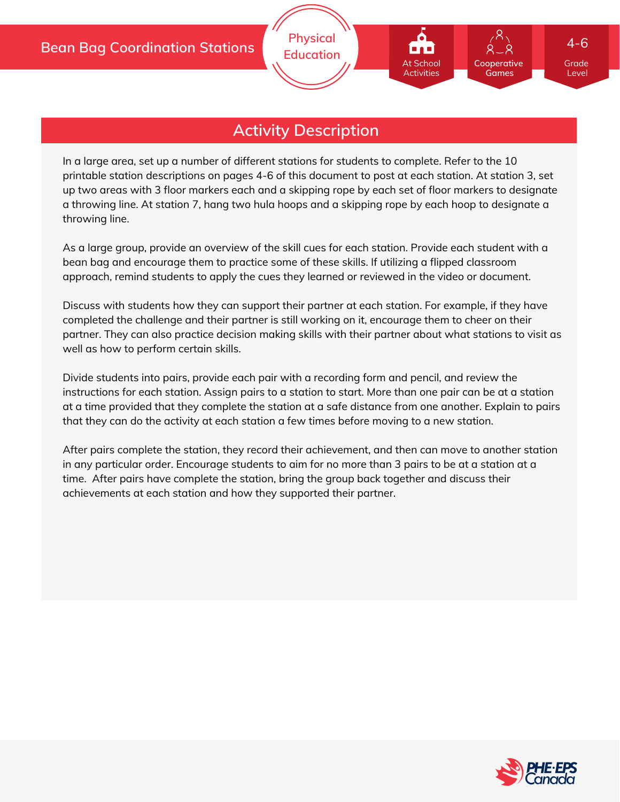

## **Activity Description**

In a large area, set up a number of different stations for students to complete. Refer to the 10 printable station descriptions on pages 4-6 of this document to post at each station. At station 3, set up two areas with 3 floor markers each and a skipping rope by each set of floor markers to designate a throwing line. At station 7, hang two hula hoops and a skipping rope by each hoop to designate a throwing line.

As a large group, provide an overview of the skill cues for each station. Provide each student with a bean bag and encourage them to practice some of these skills. If utilizing a flipped classroom approach, remind students to apply the cues they learned or reviewed in the video or document.

Discuss with students how they can support their partner at each station. For example, if they have completed the challenge and their partner is still working on it, encourage them to cheer on their partner. They can also practice decision making skills with their partner about what stations to visit as well as how to perform certain skills.

Divide students into pairs, provide each pair with a recording form and pencil, and review the instructions for each station. Assign pairs to a station to start. More than one pair can be at a station at a time provided that they complete the station at a safe distance from one another. Explain to pairs that they can do the activity at each station a few times before moving to a new station.

After pairs complete the station, they record their achievement, and then can move to another station in any particular order. Encourage students to aim for no more than 3 pairs to be at a station at a time. After pairs have complete the station, bring the group back together and discuss their achievements at each station and how they supported their partner.

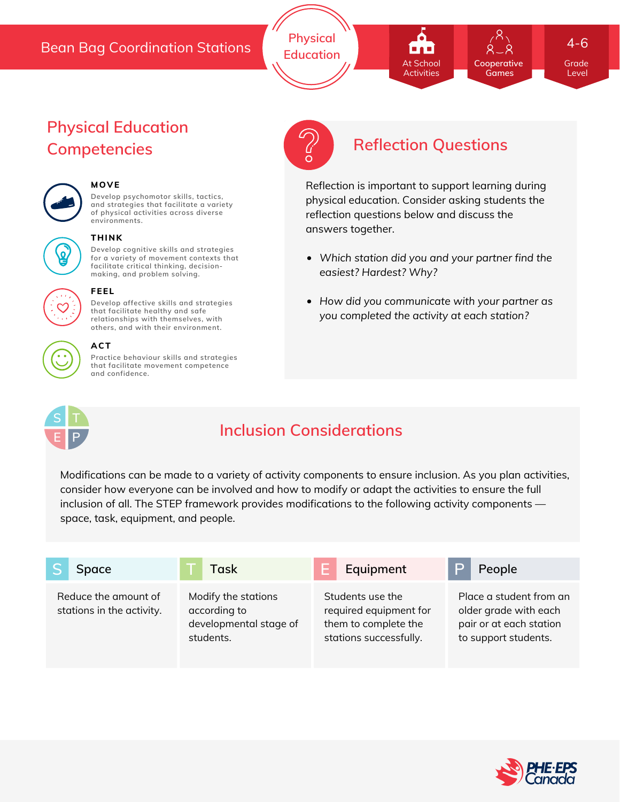## Bean Bag Coordination Stations

**Physical Education Cooperative Games** At School Activities

Grade 4-6

Level

# **Physical Education Competencies Reflection Questions**



## **MOVE**

**Develop psychomotor skills, tactics, and strategies that facilitate a variety of physical activities across diverse environments.**



#### **THINK**

**Develop cognitive skills and strategies for a variety of movement contexts that facilitate critical thinking, decision making, and problem solving.**

**Develop affective skills and strategies that facilitate healthy and safe**



#### **relationships with themselves, with others, and with their environment.**

**FEEL**

**ACT**

**Practice behaviour skills and strategies that facilitate movement competence and confidence.**



# **Inclusion Considerations**

Modifications can be made to a variety of activity components to ensure inclusion. As you plan activities, consider how everyone can be involved and how to modify or adapt the activities to ensure the full inclusion of all. The STEP framework provides modifications to the following activity components space, task, equipment, and people.







Reflection is important to support learning during physical education. Consider asking students the reflection questions below and discuss the answers together.

- *Which station did you and your partner find the easiest? Hardest? Why?*
- *How did you communicate with your partner as you completed the activity at each station?*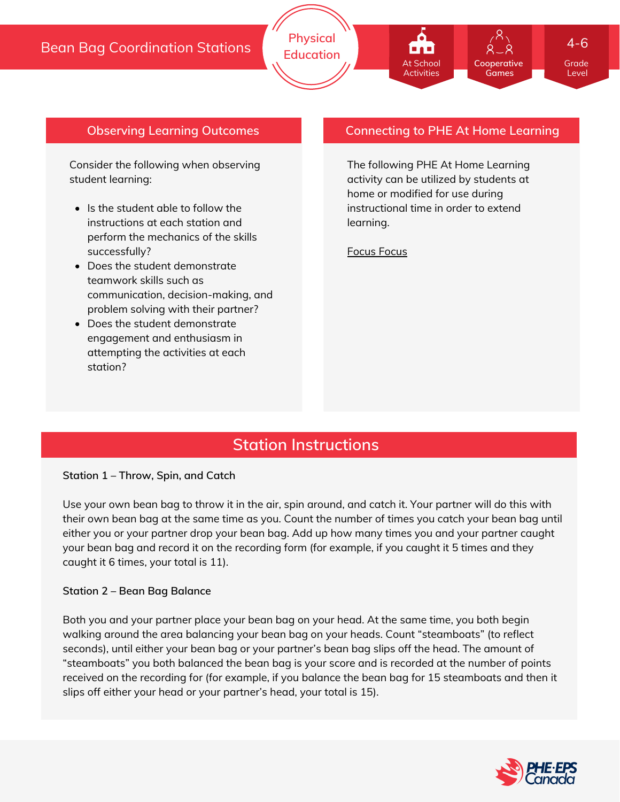#### **Cooperative Games** At School Activities

Grade 4-6

Level

## **Observing Learning Outcomes**

Consider the following when observing student learning:

- Is the student able to follow the instructions at each station and perform the mechanics of the skills successfully?
- Does the student demonstrate teamwork skills such as communication, decision-making, and problem solving with their partner?
- Does the student demonstrate engagement and enthusiasm in attempting the activities at each station?

### **Connecting to PHE At Home Learning**

The following PHE At Home Learning activity can be utilized by students at home or modified for use during instructional time in order to extend learning.

[Focus](https://phecanada.ca/sites/default/files/content/docs/Home%20Learning%20Resource/4-6/Physical%20Education/4-6%20PE_Focus%20Focus.pdf) Focus

# **Station Instructions**

#### **Station 1 – Throw, Spin, and Catch**

Use your own bean bag to throw it in the air, spin around, and catch it. Your partner will do this with their own bean bag at the same time as you. Count the number of times you catch your bean bag until either you or your partner drop your bean bag. Add up how many times you and your partner caught your bean bag and record it on the recording form (for example, if you caught it 5 times and they caught it 6 times, your total is 11).

#### **Station 2 – Bean Bag Balance**

Both you and your partner place your bean bag on your head. At the same time, you both begin walking around the area balancing your bean bag on your heads. Count "steamboats" (to reflect seconds), until either your bean bag or your partner's bean bag slips off the head. The amount of "steamboats" you both balanced the bean bag is your score and is recorded at the number of points received on the recording for (for example, if you balance the bean bag for 15 steamboats and then it slips off either your head or your partner's head, your total is 15).

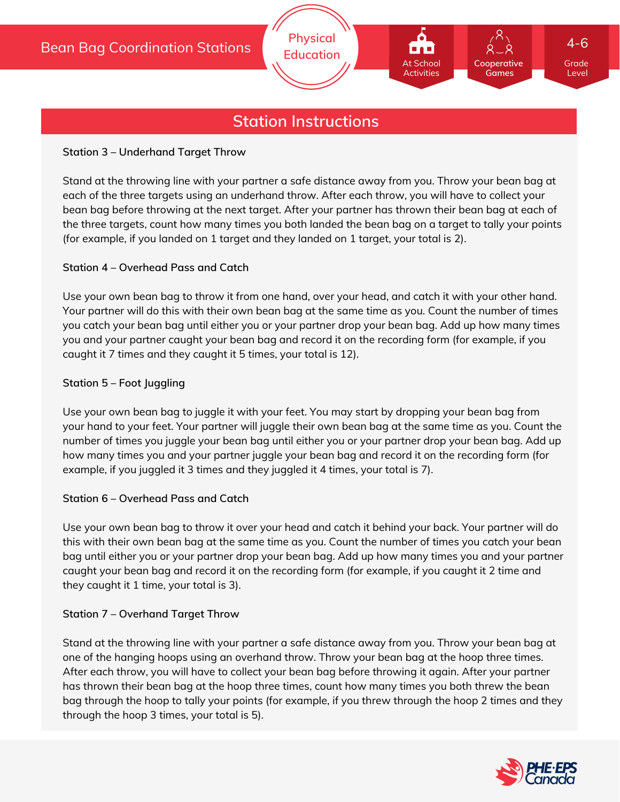# **Station Instructions**

#### **Station 3 – Underhand Target Throw**

Stand at the throwing line with your partner a safe distance away from you. Throw your bean bag at each of the three targets using an underhand throw. After each throw, you will have to collect your bean bag before throwing at the next target. After your partner has thrown their bean bag at each of the three targets, count how many times you both landed the bean bag on a target to tally your points (for example, if you landed on 1 target and they landed on 1 target, your total is 2).

#### **Station 4 – Overhead Pass and Catch**

Use your own bean bag to throw it from one hand, over your head, and catch it with your other hand. Your partner will do this with their own bean bag at the same time as you. Count the number of times you catch your bean bag until either you or your partner drop your bean bag. Add up how many times you and your partner caught your bean bag and record it on the recording form (for example, if you caught it 7 times and they caught it 5 times, your total is 12).

#### **Station 5 – Foot Juggling**

Use your own bean bag to juggle it with your feet. You may start by dropping your bean bag from your hand to your feet. Your partner will juggle their own bean bag at the same time as you. Count the number of times you juggle your bean bag until either you or your partner drop your bean bag. Add up how many times you and your partner juggle your bean bag and record it on the recording form (for example, if you juggled it 3 times and they juggled it 4 times, your total is 7).

#### **Station 6 – Overhead Pass and Catch**

Use your own bean bag to throw it over your head and catch it behind your back. Your partner will do this with their own bean bag at the same time as you. Count the number of times you catch your bean bag until either you or your partner drop your bean bag. Add up how many times you and your partner caught your bean bag and record it on the recording form (for example, if you caught it 2 time and they caught it 1 time, your total is 3).

#### **Station 7 – Overhand Target Throw**

Stand at the throwing line with your partner a safe distance away from you. Throw your bean bag at one of the hanging hoops using an overhand throw. Throw your bean bag at the hoop three times. After each throw, you will have to collect your bean bag before throwing it again. After your partner has thrown their bean bag at the hoop three times, count how many times you both threw the bean bag through the hoop to tally your points (for example, if you threw through the hoop 2 times and they through the hoop 3 times, your total is 5).



Grade Level

**Cooperative Games**

At School Activities

4-6